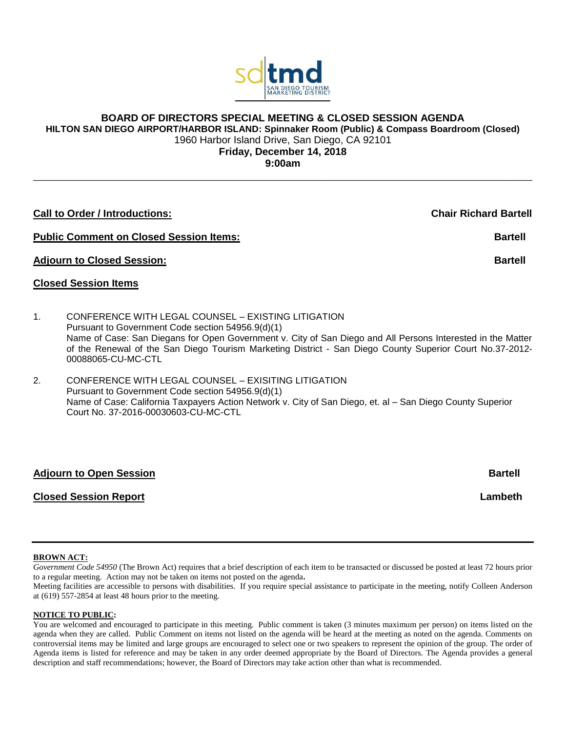

# **BOARD OF DIRECTORS SPECIAL MEETING & CLOSED SESSION AGENDA**

**HILTON SAN DIEGO AIRPORT/HARBOR ISLAND: Spinnaker Room (Public) & Compass Boardroom (Closed)**

1960 Harbor Island Drive, San Diego, CA 92101

**Friday, December 14, 2018**

**9:00am** \_\_\_\_\_\_\_\_\_\_\_\_\_\_\_\_\_\_\_\_\_\_\_\_\_\_\_\_\_\_\_\_\_\_\_\_\_\_\_\_\_\_\_\_\_\_\_\_\_\_\_\_\_\_\_\_\_\_\_\_\_\_\_\_\_\_\_\_\_\_\_\_\_\_\_\_\_\_\_\_\_\_\_\_\_\_\_\_\_\_

| <b>Call to Order / Introductions:</b><br><b>Public Comment on Closed Session Items:</b><br><b>Bartell</b> |                                                                                                                                                                                                                                                                                                                                                           | <b>Chair Richard Bartell</b> |
|-----------------------------------------------------------------------------------------------------------|-----------------------------------------------------------------------------------------------------------------------------------------------------------------------------------------------------------------------------------------------------------------------------------------------------------------------------------------------------------|------------------------------|
|                                                                                                           |                                                                                                                                                                                                                                                                                                                                                           |                              |
|                                                                                                           | <b>Closed Session Items</b>                                                                                                                                                                                                                                                                                                                               |                              |
| $\mathbf{1}$ .                                                                                            | CONFERENCE WITH LEGAL COUNSEL – EXISTING LITIGATION<br>Pursuant to Government Code section 54956.9(d)(1)<br>Name of Case: San Diegans for Open Government v. City of San Diego and All Persons Interested in the Matter<br>of the Renewal of the San Diego Tourism Marketing District - San Diego County Superior Court No.37-2012-<br>00088065-CU-MC-CTL |                              |
| 2.                                                                                                        | CONFERENCE WITH LEGAL COUNSEL – EXISITING LITIGATION<br>Pursuant to Government Code section 54956.9(d)(1)<br>Name of Case: California Taxpayers Action Network v. City of San Diego, et. al - San Diego County Superior                                                                                                                                   |                              |

## **Adjourn to Open Session Bartell**

Court No. 37-2016-00030603-CU-MC-CTL

## **Closed Session Report Lambeth**

#### **BROWN ACT:**

*Government Code 54950* (The Brown Act) requires that a brief description of each item to be transacted or discussed be posted at least 72 hours prior to a regular meeting. Action may not be taken on items not posted on the agenda**.**

Meeting facilities are accessible to persons with disabilities. If you require special assistance to participate in the meeting, notify Colleen Anderson at (619) 557-2854 at least 48 hours prior to the meeting.

#### **NOTICE TO PUBLIC:**

You are welcomed and encouraged to participate in this meeting. Public comment is taken (3 minutes maximum per person) on items listed on the agenda when they are called. Public Comment on items not listed on the agenda will be heard at the meeting as noted on the agenda. Comments on controversial items may be limited and large groups are encouraged to select one or two speakers to represent the opinion of the group. The order of Agenda items is listed for reference and may be taken in any order deemed appropriate by the Board of Directors. The Agenda provides a general description and staff recommendations; however, the Board of Directors may take action other than what is recommended.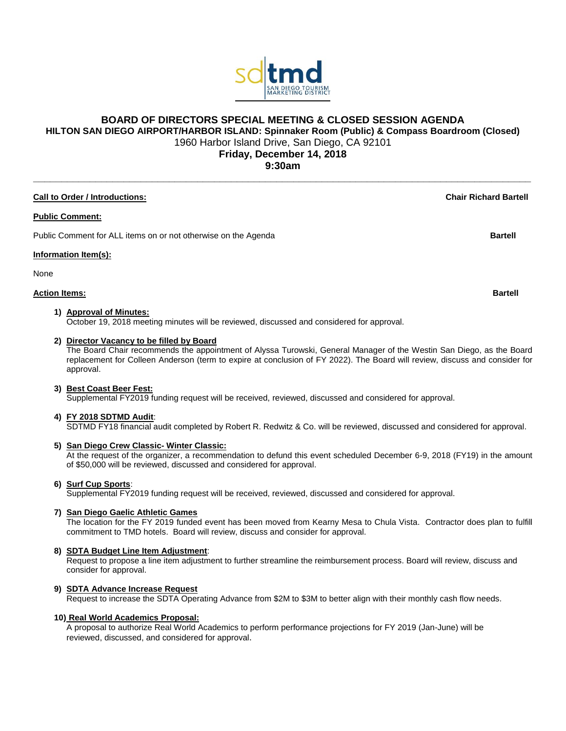

## **BOARD OF DIRECTORS SPECIAL MEETING & CLOSED SESSION AGENDA**

**HILTON SAN DIEGO AIRPORT/HARBOR ISLAND: Spinnaker Room (Public) & Compass Boardroom (Closed)**

1960 Harbor Island Drive, San Diego, CA 92101

**Friday, December 14, 2018 9:30am \_\_\_\_\_\_\_\_\_\_\_\_\_\_\_\_\_\_\_\_\_\_\_\_\_\_\_\_\_\_\_\_\_\_\_\_\_\_\_\_\_\_\_\_\_\_\_\_\_\_\_\_\_\_\_\_\_\_\_\_\_\_\_\_\_\_\_\_\_\_\_\_\_\_\_\_\_\_\_\_\_\_\_\_\_\_\_\_**

#### **Call to Order / Introductions: Chair Richard Bartell**

#### **Public Comment:**

Public Comment for ALL items on or not otherwise on the Agenda **Bartell Bartell Bartell** 

#### **Information Item(s):**

None

### **Action Items: Bartell**

#### **1) Approval of Minutes:**

October 19, 2018 meeting minutes will be reviewed, discussed and considered for approval.

#### **2) Director Vacancy to be filled by Board**

The Board Chair recommends the appointment of Alyssa Turowski, General Manager of the Westin San Diego, as the Board replacement for Colleen Anderson (term to expire at conclusion of FY 2022). The Board will review, discuss and consider for approval.

#### **3) Best Coast Beer Fest:**

Supplemental FY2019 funding request will be received, reviewed, discussed and considered for approval.

#### **4) FY 2018 SDTMD Audit**:

SDTMD FY18 financial audit completed by Robert R. Redwitz & Co. will be reviewed, discussed and considered for approval.

#### **5) San Diego Crew Classic- Winter Classic:**

At the request of the organizer, a recommendation to defund this event scheduled December 6-9, 2018 (FY19) in the amount of \$50,000 will be reviewed, discussed and considered for approval.

#### **6) Surf Cup Sports**:

Supplemental FY2019 funding request will be received, reviewed, discussed and considered for approval.

#### **7) San Diego Gaelic Athletic Games**

The location for the FY 2019 funded event has been moved from Kearny Mesa to Chula Vista. Contractor does plan to fulfill commitment to TMD hotels. Board will review, discuss and consider for approval.

### **8) SDTA Budget Line Item Adjustment**:

Request to propose a line item adjustment to further streamline the reimbursement process. Board will review, discuss and consider for approval.

### **9) SDTA Advance Increase Request**

Request to increase the SDTA Operating Advance from \$2M to \$3M to better align with their monthly cash flow needs.

#### **10) Real World Academics Proposal:**

A proposal to authorize Real World Academics to perform performance projections for FY 2019 (Jan-June) will be reviewed, discussed, and considered for approval.